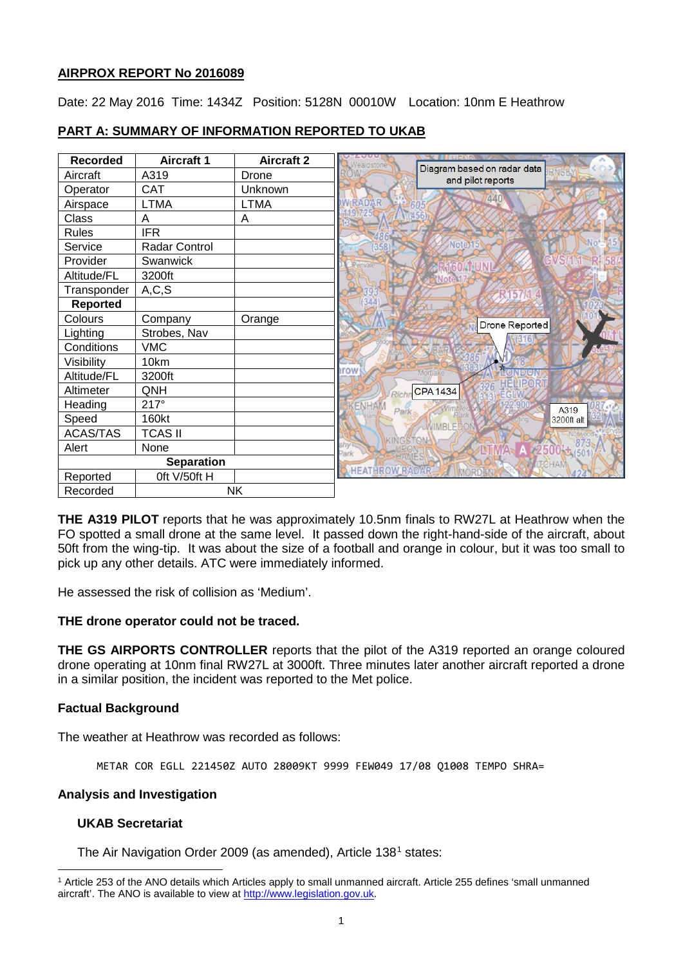## **AIRPROX REPORT No 2016089**

Date: 22 May 2016 Time: 1434Z Position: 5128N 00010W Location: 10nm E Heathrow

| <b>Recorded</b>   | <b>Aircraft 1</b> | <b>Aircraft 2</b> | <i>ealdstone</i>      |                                                  |
|-------------------|-------------------|-------------------|-----------------------|--------------------------------------------------|
| Aircraft          | A319              | Drone             |                       | Diagram based on radar data<br>and pilot reports |
| Operator          | <b>CAT</b>        | Unknown           |                       |                                                  |
| Airspace          | LTMA              | <b>LTMA</b>       | <b>WRADAR</b>         | 440                                              |
| Class             | Α                 | A                 |                       |                                                  |
| <b>Rules</b>      | <b>IFR</b>        |                   |                       |                                                  |
| Service           | Radar Control     |                   | 358                   | Note <sub>15</sub>                               |
| Provider          | Swanwick          |                   |                       | GVS/1.1                                          |
| Altitude/FL       | 3200ft            |                   |                       | Note                                             |
| Transponder       | A, C, S           |                   |                       | 57                                               |
| Reported          |                   |                   |                       |                                                  |
| Colours           | Company           | Orange            |                       | Drone Reported                                   |
| Lighting          | Strobes, Nav      |                   |                       |                                                  |
| Conditions        | <b>VMC</b>        |                   |                       |                                                  |
| Visibility        | 10km              |                   |                       |                                                  |
| Altitude/FL       | 3200ft            |                   | <b>Irow</b>           | DICK<br>Mortlake<br>PRIPOR                       |
| Altimeter         | QNH               |                   | Rich                  | <b>CPA1434</b>                                   |
| Heading           | $217^\circ$       |                   | <b>KENHAM</b><br>Park | A319                                             |
| Speed             | 160kt             |                   |                       | 3200ft alt<br><b>WIMBI</b>                       |
| <b>ACAS/TAS</b>   | <b>TCAS II</b>    |                   |                       |                                                  |
| Alert             | None              |                   | Park                  | A 2500 t (501                                    |
| <b>Separation</b> |                   |                   |                       | MITCHAM                                          |
| Reported          | Oft V/50ft H      |                   | <b>HEATHROW RADAR</b> |                                                  |
| Recorded          | <b>NK</b>         |                   |                       |                                                  |

# **PART A: SUMMARY OF INFORMATION REPORTED TO UKAB**

**THE A319 PILOT** reports that he was approximately 10.5nm finals to RW27L at Heathrow when the FO spotted a small drone at the same level. It passed down the right-hand-side of the aircraft, about 50ft from the wing-tip. It was about the size of a football and orange in colour, but it was too small to pick up any other details. ATC were immediately informed.

He assessed the risk of collision as 'Medium'.

## **THE drone operator could not be traced.**

**THE GS AIRPORTS CONTROLLER** reports that the pilot of the A319 reported an orange coloured drone operating at 10nm final RW27L at 3000ft. Three minutes later another aircraft reported a drone in a similar position, the incident was reported to the Met police.

## **Factual Background**

The weather at Heathrow was recorded as follows:

METAR COR EGLL 221450Z AUTO 28009KT 9999 FEW049 17/08 Q1008 TEMPO SHRA=

## **Analysis and Investigation**

## **UKAB Secretariat**

The Air Navigation Order 2009 (as amended), Article [1](#page-0-0)38<sup>1</sup> states:

<span id="page-0-0"></span>l <sup>1</sup> Article 253 of the ANO details which Articles apply to small unmanned aircraft. Article 255 defines 'small unmanned aircraft'. The ANO is available to view at [http://www.legislation.gov.uk.](http://www.legislation.gov.uk/)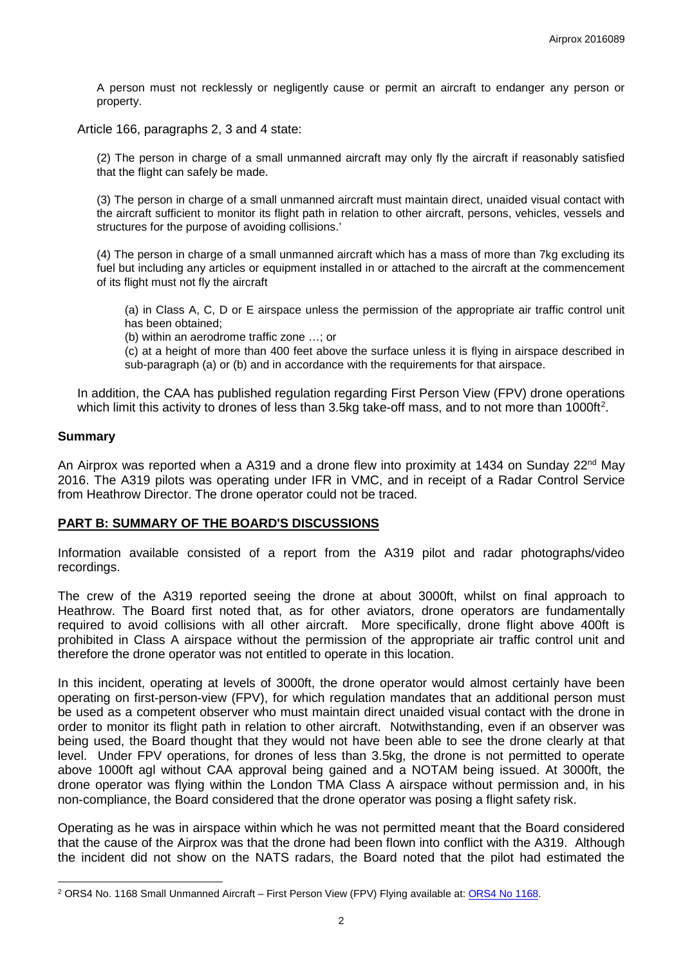A person must not recklessly or negligently cause or permit an aircraft to endanger any person or property.

Article 166, paragraphs 2, 3 and 4 state:

(2) The person in charge of a small unmanned aircraft may only fly the aircraft if reasonably satisfied that the flight can safely be made.

(3) The person in charge of a small unmanned aircraft must maintain direct, unaided visual contact with the aircraft sufficient to monitor its flight path in relation to other aircraft, persons, vehicles, vessels and structures for the purpose of avoiding collisions.'

(4) The person in charge of a small unmanned aircraft which has a mass of more than 7kg excluding its fuel but including any articles or equipment installed in or attached to the aircraft at the commencement of its flight must not fly the aircraft

(a) in Class A, C, D or E airspace unless the permission of the appropriate air traffic control unit has been obtained;

(b) within an aerodrome traffic zone …; or

(c) at a height of more than 400 feet above the surface unless it is flying in airspace described in sub-paragraph (a) or (b) and in accordance with the requirements for that airspace.

In addition, the CAA has published regulation regarding First Person View (FPV) drone operations which limit this activity to drones of less than 3.5kg take-off mass, and to not more than 1000ft<sup>[2](#page-1-0)</sup>.

#### **Summary**

 $\overline{\phantom{a}}$ 

An Airprox was reported when a A319 and a drone flew into proximity at 1434 on Sunday  $22^{nd}$  May 2016. The A319 pilots was operating under IFR in VMC, and in receipt of a Radar Control Service from Heathrow Director. The drone operator could not be traced.

#### **PART B: SUMMARY OF THE BOARD'S DISCUSSIONS**

Information available consisted of a report from the A319 pilot and radar photographs/video recordings.

The crew of the A319 reported seeing the drone at about 3000ft, whilst on final approach to Heathrow. The Board first noted that, as for other aviators, drone operators are fundamentally required to avoid collisions with all other aircraft. More specifically, drone flight above 400ft is prohibited in Class A airspace without the permission of the appropriate air traffic control unit and therefore the drone operator was not entitled to operate in this location.

In this incident, operating at levels of 3000ft, the drone operator would almost certainly have been operating on first-person-view (FPV), for which regulation mandates that an additional person must be used as a competent observer who must maintain direct unaided visual contact with the drone in order to monitor its flight path in relation to other aircraft. Notwithstanding, even if an observer was being used, the Board thought that they would not have been able to see the drone clearly at that level. Under FPV operations, for drones of less than 3.5kg, the drone is not permitted to operate above 1000ft agl without CAA approval being gained and a NOTAM being issued. At 3000ft, the drone operator was flying within the London TMA Class A airspace without permission and, in his non-compliance, the Board considered that the drone operator was posing a flight safety risk.

Operating as he was in airspace within which he was not permitted meant that the Board considered that the cause of the Airprox was that the drone had been flown into conflict with the A319. Although the incident did not show on the NATS radars, the Board noted that the pilot had estimated the

<span id="page-1-0"></span><sup>&</sup>lt;sup>2</sup> ORS4 No. 1168 Small Unmanned Aircraft – First Person View (FPV) Flying available at: ORS4 No 1168.